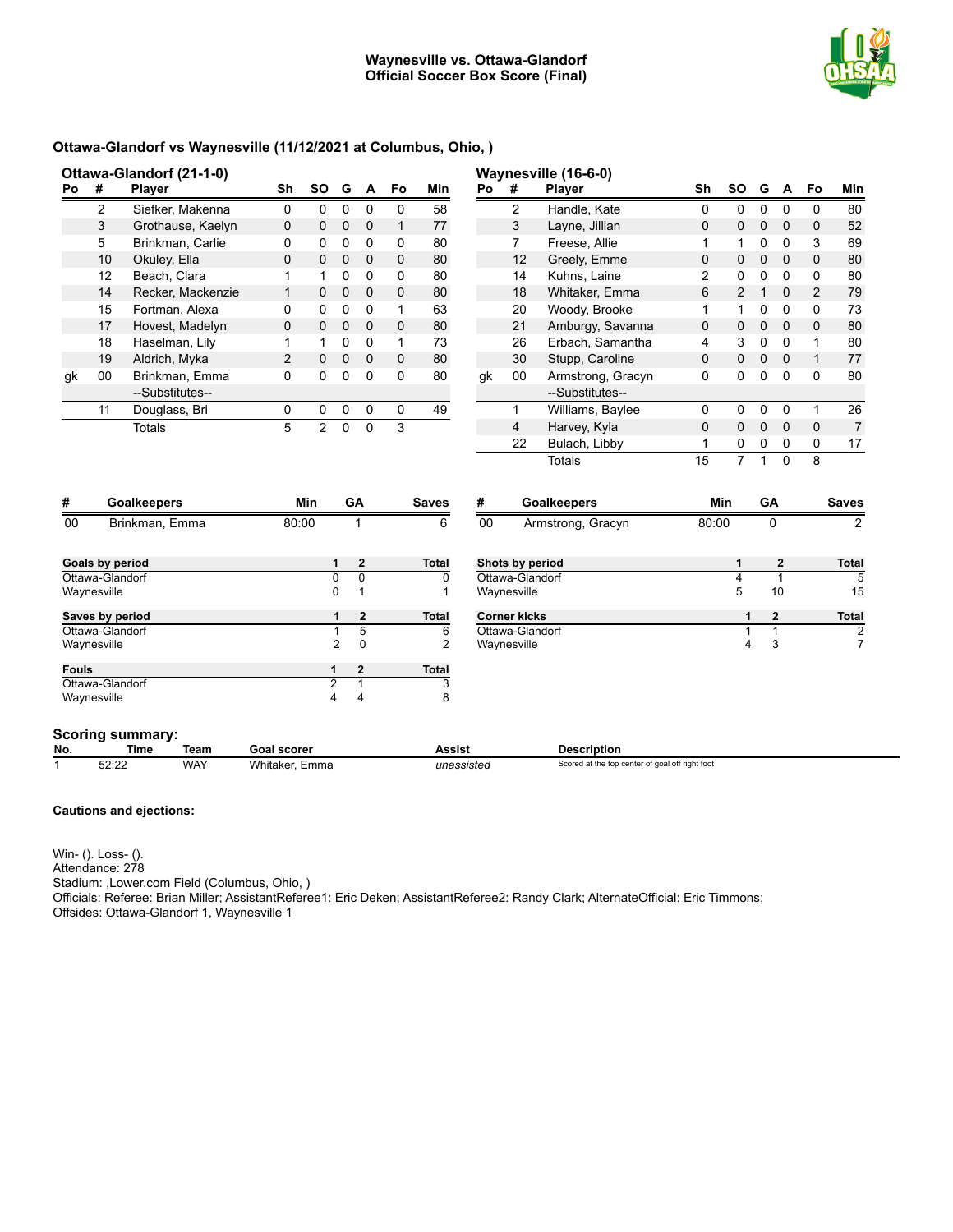

## **Ottawa-Glandorf vs Waynesville (11/12/2021 at Columbus, Ohio, )**

| Ottawa-Glandorf (21-1-0) |    |                   |               |          |          |          |              |     |
|--------------------------|----|-------------------|---------------|----------|----------|----------|--------------|-----|
| Po                       | #  | <b>Player</b>     | Sh            | SΟ       | G        | A        | Fo           | Min |
|                          | 2  | Siefker, Makenna  | ŋ             | U        | 0        | 0        | O            | 58  |
|                          | 3  | Grothause, Kaelyn | O             | $\Omega$ | 0        | $\Omega$ | 1            | 77  |
|                          | 5  | Brinkman, Carlie  | 0             | 0        | 0        | $\Omega$ | 0            | 80  |
|                          | 10 | Okuley, Ella      | 0             | $\Omega$ | $\Omega$ | $\Omega$ | $\Omega$     | 80  |
|                          | 12 | Beach, Clara      | 1             | 1        | 0        | 0        | O            | 80  |
|                          | 14 | Recker, Mackenzie | 1             | $\Omega$ | 0        | $\Omega$ | <sup>0</sup> | 80  |
|                          | 15 | Fortman, Alexa    | 0             | 0        | 0        | 0        | 1            | 63  |
|                          | 17 | Hovest, Madelyn   | O             | $\Omega$ | $\Omega$ | $\Omega$ | <sup>0</sup> | 80  |
|                          | 18 | Haselman, Lily    | 1             | 1        | 0        | 0        | 1            | 73  |
|                          | 19 | Aldrich, Myka     | $\mathcal{P}$ | $\Omega$ | $\Omega$ | $\Omega$ | O            | 80  |
| gk                       | 00 | Brinkman, Emma    | 0             | 0        | 0        | 0        | 0            | 80  |
|                          |    | --Substitutes--   |               |          |          |          |              |     |
|                          | 11 | Douglass, Bri     | ŋ             | ŋ        | 0        | 0        | O            | 49  |
|                          |    | Totals            | 5             | 2        | n        | ŋ        | 3            |     |

| Waynesville (16-6-0) |                |                   |          |           |          |          |          |     |
|----------------------|----------------|-------------------|----------|-----------|----------|----------|----------|-----|
| Po                   | #              | <b>Player</b>     | Sh       | <b>SO</b> | G        | A        | Fo       | Min |
|                      | $\overline{2}$ | Handle, Kate      | 0        | 0         | $\Omega$ | 0        | $\Omega$ | 80  |
|                      | 3              | Layne, Jillian    | 0        | 0         | 0        | $\Omega$ | 0        | 52  |
|                      | 7              | Freese, Allie     | 1        | 1         | $\Omega$ | 0        | 3        | 69  |
|                      | 12             | Greely, Emme      | $\Omega$ | 0         | 0        | $\Omega$ | 0        | 80  |
|                      | 14             | Kuhns, Laine      | 2        | 0         | 0        | U        | 0        | 80  |
|                      | 18             | Whitaker, Emma    | 6        | 2         | 1        | $\Omega$ | 2        | 79  |
|                      | 20             | Woody, Brooke     | 1        | 1         | 0        | 0        | 0        | 73  |
|                      | 21             | Amburgy, Savanna  | $\Omega$ | 0         | $\Omega$ | $\Omega$ | $\Omega$ | 80  |
|                      | 26             | Erbach, Samantha  | 4        | 3         | 0        | 0        | 1        | 80  |
|                      | 30             | Stupp, Caroline   | 0        | $\Omega$  | $\Omega$ | $\Omega$ | 1        | 77  |
| gk                   | 00             | Armstrong, Gracyn | 0        | 0         | 0        | 0        | O        | 80  |
|                      |                | --Substitutes--   |          |           |          |          |          |     |
|                      | 1              | Williams, Baylee  | 0        | 0         | 0        | 0        | 1        | 26  |
|                      | 4              | Harvey, Kyla      | 0        | 0         | $\Omega$ | 0        | 0        | 7   |
|                      | 22             | Bulach, Libby     | 1        | 0         | 0        | 0        | 0        | 17  |
|                      |                | Totals            | 15       | 7         | 1        | 0        | 8        |     |

| #            | <b>Goalkeepers</b> | Min   |   | GΑ           | <b>Saves</b> |
|--------------|--------------------|-------|---|--------------|--------------|
| 00           | Brinkman, Emma     | 80:00 |   | 1            | 6            |
|              | Goals by period    |       | 1 | $\mathbf{2}$ | Total        |
|              | Ottawa-Glandorf    |       | 0 | O            | Ω            |
|              | Waynesville        |       | 0 | 1            |              |
|              | Saves by period    |       | 1 | $\mathbf{2}$ | <b>Total</b> |
|              | Ottawa-Glandorf    |       |   | 5            | 6            |
|              | Waynesville        |       | 2 | 0            | 2            |
| <b>Fouls</b> |                    |       | 1 | $\mathbf{2}$ | <b>Total</b> |
|              | Ottawa-Glandorf    |       | 2 | 1            | 3            |
|              | Waynesville        |       | 4 | 4            | 8            |

| #  | <b>Goalkeepers</b> | Min   | GΑ           | <b>Saves</b> |
|----|--------------------|-------|--------------|--------------|
| 00 | Armstrong, Gracyn  | 80:00 |              |              |
|    | Shots by period    |       | 2            | <b>Total</b> |
|    | Ottawa-Glandorf    | 4     |              | 5            |
|    | Waynesville        | 5     | 10           | 15           |
|    | Corner kicks       | 1     | $\mathbf{2}$ | <b>Total</b> |
|    | Ottawa-Glandorf    |       |              | 2            |
|    | Waynesville        | 4     | 3            |              |

## **Scoring summary:**

| No. | Time           | ⊺eam | $- - - - -$<br>л0.   | <b>Leeie</b><br>455151                   | Descriptior                                     |
|-----|----------------|------|----------------------|------------------------------------------|-------------------------------------------------|
|     | 50.00<br>32.ZZ | WAY  | .<br>Emma<br>Whitake | $\mu$ nassust $\mu$<br>ົ<br>ssisted<br>. | Scored at the top center of goal off right foot |

## **Cautions and ejections:**

Win- (). Loss- (). Attendance: 278 Stadium: ,Lower.com Field (Columbus, Ohio, ) Officials: Referee: Brian Miller; AssistantReferee1: Eric Deken; AssistantReferee2: Randy Clark; AlternateOfficial: Eric Timmons; Offsides: Ottawa-Glandorf 1, Waynesville 1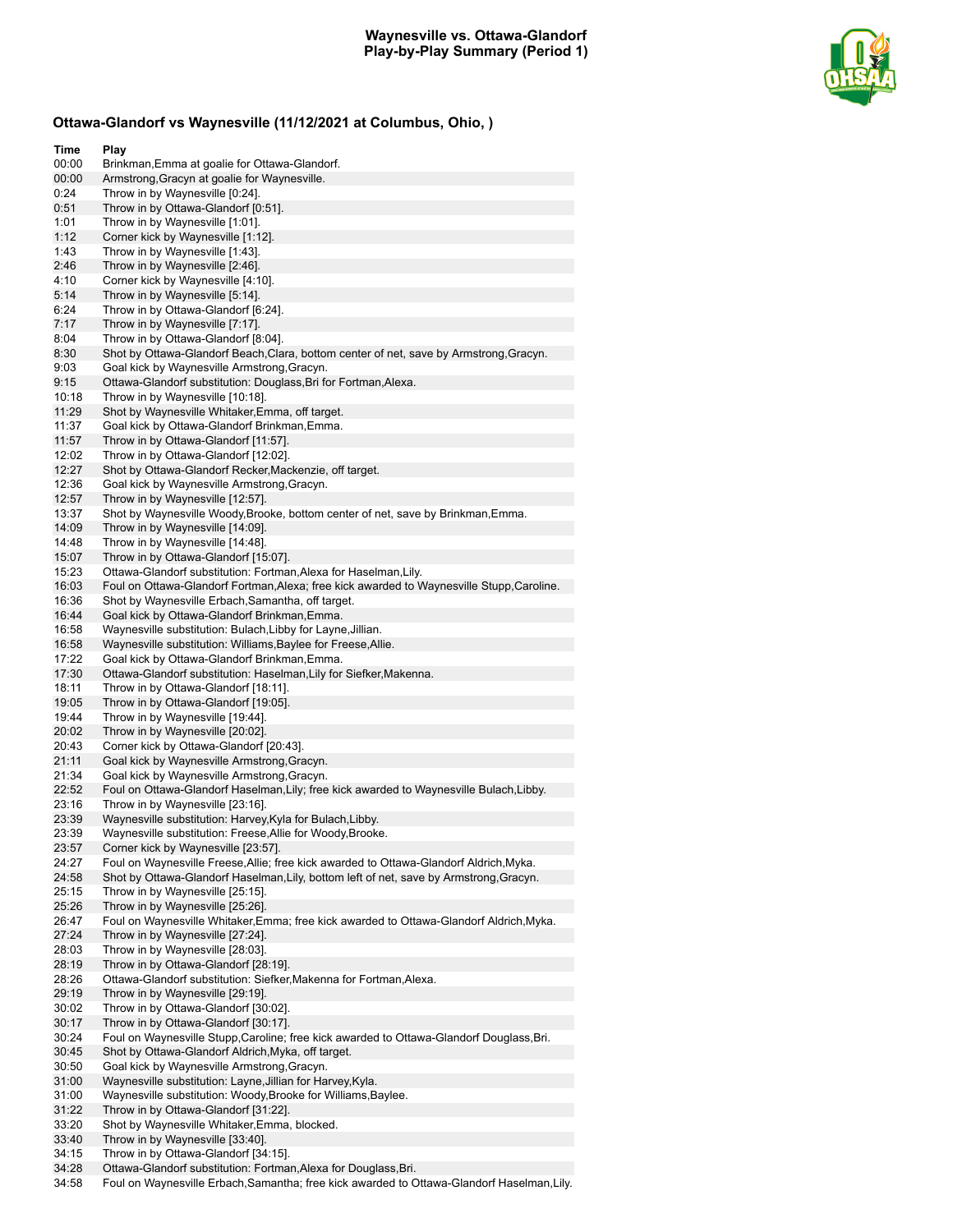

## **Ottawa-Glandorf vs Waynesville (11/12/2021 at Columbus, Ohio, )**

| Time           | Play                                                                                                                                                                             |
|----------------|----------------------------------------------------------------------------------------------------------------------------------------------------------------------------------|
| 00:00          | Brinkman, Emma at goalie for Ottawa-Glandorf.                                                                                                                                    |
| 00:00          | Armstrong, Gracyn at goalie for Waynesville.                                                                                                                                     |
| 0:24           | Throw in by Waynesville [0:24].                                                                                                                                                  |
| 0:51<br>1:01   | Throw in by Ottawa-Glandorf [0:51].<br>Throw in by Waynesville [1:01].                                                                                                           |
| 1:12           | Corner kick by Waynesville [1:12].                                                                                                                                               |
| 1:43           | Throw in by Waynesville [1:43].                                                                                                                                                  |
| 2:46           | Throw in by Waynesville [2:46].                                                                                                                                                  |
| 4:10           | Corner kick by Waynesville [4:10].                                                                                                                                               |
| 5:14           | Throw in by Waynesville [5:14].                                                                                                                                                  |
| 6:24           | Throw in by Ottawa-Glandorf [6:24].                                                                                                                                              |
| 7:17           | Throw in by Waynesville [7:17].                                                                                                                                                  |
| 8:04<br>8:30   | Throw in by Ottawa-Glandorf [8:04].<br>Shot by Ottawa-Glandorf Beach, Clara, bottom center of net, save by Armstrong, Gracyn.                                                    |
| 9:03           | Goal kick by Waynesville Armstrong, Gracyn.                                                                                                                                      |
| 9:15           | Ottawa-Glandorf substitution: Douglass, Bri for Fortman, Alexa.                                                                                                                  |
| 10:18          | Throw in by Waynesville [10:18].                                                                                                                                                 |
| 11:29          | Shot by Waynesville Whitaker, Emma, off target.                                                                                                                                  |
| 11:37          | Goal kick by Ottawa-Glandorf Brinkman, Emma.                                                                                                                                     |
| 11:57          | Throw in by Ottawa-Glandorf [11:57].                                                                                                                                             |
| 12:02          | Throw in by Ottawa-Glandorf [12:02].                                                                                                                                             |
| 12:27          | Shot by Ottawa-Glandorf Recker, Mackenzie, off target.                                                                                                                           |
| 12:36<br>12:57 | Goal kick by Waynesville Armstrong, Gracyn.<br>Throw in by Waynesville [12:57].                                                                                                  |
| 13:37          | Shot by Waynesville Woody, Brooke, bottom center of net, save by Brinkman, Emma.                                                                                                 |
| 14:09          | Throw in by Waynesville [14:09].                                                                                                                                                 |
| 14:48          | Throw in by Waynesville [14:48].                                                                                                                                                 |
| 15:07          | Throw in by Ottawa-Glandorf [15:07].                                                                                                                                             |
| 15:23          | Ottawa-Glandorf substitution: Fortman, Alexa for Haselman, Lily.                                                                                                                 |
| 16:03          | Foul on Ottawa-Glandorf Fortman, Alexa; free kick awarded to Waynesville Stupp, Caroline.                                                                                        |
| 16:36          | Shot by Waynesville Erbach, Samantha, off target.                                                                                                                                |
| 16:44<br>16:58 | Goal kick by Ottawa-Glandorf Brinkman, Emma.<br>Waynesville substitution: Bulach, Libby for Layne, Jillian.                                                                      |
| 16:58          | Waynesville substitution: Williams, Baylee for Freese, Allie.                                                                                                                    |
| 17:22          | Goal kick by Ottawa-Glandorf Brinkman, Emma.                                                                                                                                     |
| 17:30          | Ottawa-Glandorf substitution: Haselman, Lily for Siefker, Makenna.                                                                                                               |
| 18:11          | Throw in by Ottawa-Glandorf [18:11].                                                                                                                                             |
| 19:05          | Throw in by Ottawa-Glandorf [19:05].                                                                                                                                             |
| 19:44          | Throw in by Waynesville [19:44].                                                                                                                                                 |
| 20:02          | Throw in by Waynesville [20:02].                                                                                                                                                 |
| 20:43<br>21:11 | Corner kick by Ottawa-Glandorf [20:43].<br>Goal kick by Waynesville Armstrong, Gracyn.                                                                                           |
| 21:34          | Goal kick by Waynesville Armstrong, Gracyn.                                                                                                                                      |
| 22:52          | Foul on Ottawa-Glandorf Haselman, Lily; free kick awarded to Waynesville Bulach, Libby.                                                                                          |
| 23:16          | Throw in by Waynesville [23:16].                                                                                                                                                 |
| 23:39          | Waynesville substitution: Harvey, Kyla for Bulach, Libby.                                                                                                                        |
| 23:39          | Waynesville substitution: Freese, Allie for Woody, Brooke.                                                                                                                       |
| 23:57          | Corner kick by Waynesville [23:57].                                                                                                                                              |
| 24:27          | Foul on Waynesville Freese, Allie; free kick awarded to Ottawa-Glandorf Aldrich, Myka.<br>Shot by Ottawa-Glandorf Haselman, Lily, bottom left of net, save by Armstrong, Gracyn. |
| 24:58<br>25:15 | Throw in by Waynesville [25:15].                                                                                                                                                 |
| 25:26          | Throw in by Waynesville [25:26].                                                                                                                                                 |
| 26:47          | Foul on Waynesville Whitaker, Emma; free kick awarded to Ottawa-Glandorf Aldrich, Myka.                                                                                          |
| 27:24          | Throw in by Waynesville [27:24].                                                                                                                                                 |
| 28:03          | Throw in by Waynesville [28:03].                                                                                                                                                 |
| 28:19          | Throw in by Ottawa-Glandorf [28:19].                                                                                                                                             |
| 28:26          | Ottawa-Glandorf substitution: Siefker, Makenna for Fortman, Alexa.                                                                                                               |
| 29:19          | Throw in by Waynesville [29:19].                                                                                                                                                 |
| 30:02<br>30:17 | Throw in by Ottawa-Glandorf [30:02].<br>Throw in by Ottawa-Glandorf [30:17].                                                                                                     |
| 30:24          | Foul on Waynesville Stupp, Caroline; free kick awarded to Ottawa-Glandorf Douglass, Bri.                                                                                         |
| 30:45          | Shot by Ottawa-Glandorf Aldrich, Myka, off target.                                                                                                                               |
| 30:50          | Goal kick by Waynesville Armstrong, Gracyn.                                                                                                                                      |
| 31:00          | Waynesville substitution: Layne, Jillian for Harvey, Kyla.                                                                                                                       |
| 31:00          | Waynesville substitution: Woody, Brooke for Williams, Baylee.                                                                                                                    |
| 31:22          | Throw in by Ottawa-Glandorf [31:22].                                                                                                                                             |
| 33:20          | Shot by Waynesville Whitaker, Emma, blocked.                                                                                                                                     |
| 33:40<br>34:15 | Throw in by Waynesville [33:40].<br>Throw in by Ottawa-Glandorf [34:15].                                                                                                         |
| 34:28          | Ottawa-Glandorf substitution: Fortman, Alexa for Douglass, Bri.                                                                                                                  |
| 34:58          | Foul on Waynesville Erbach, Samantha; free kick awarded to Ottawa-Glandorf Haselman, Lily.                                                                                       |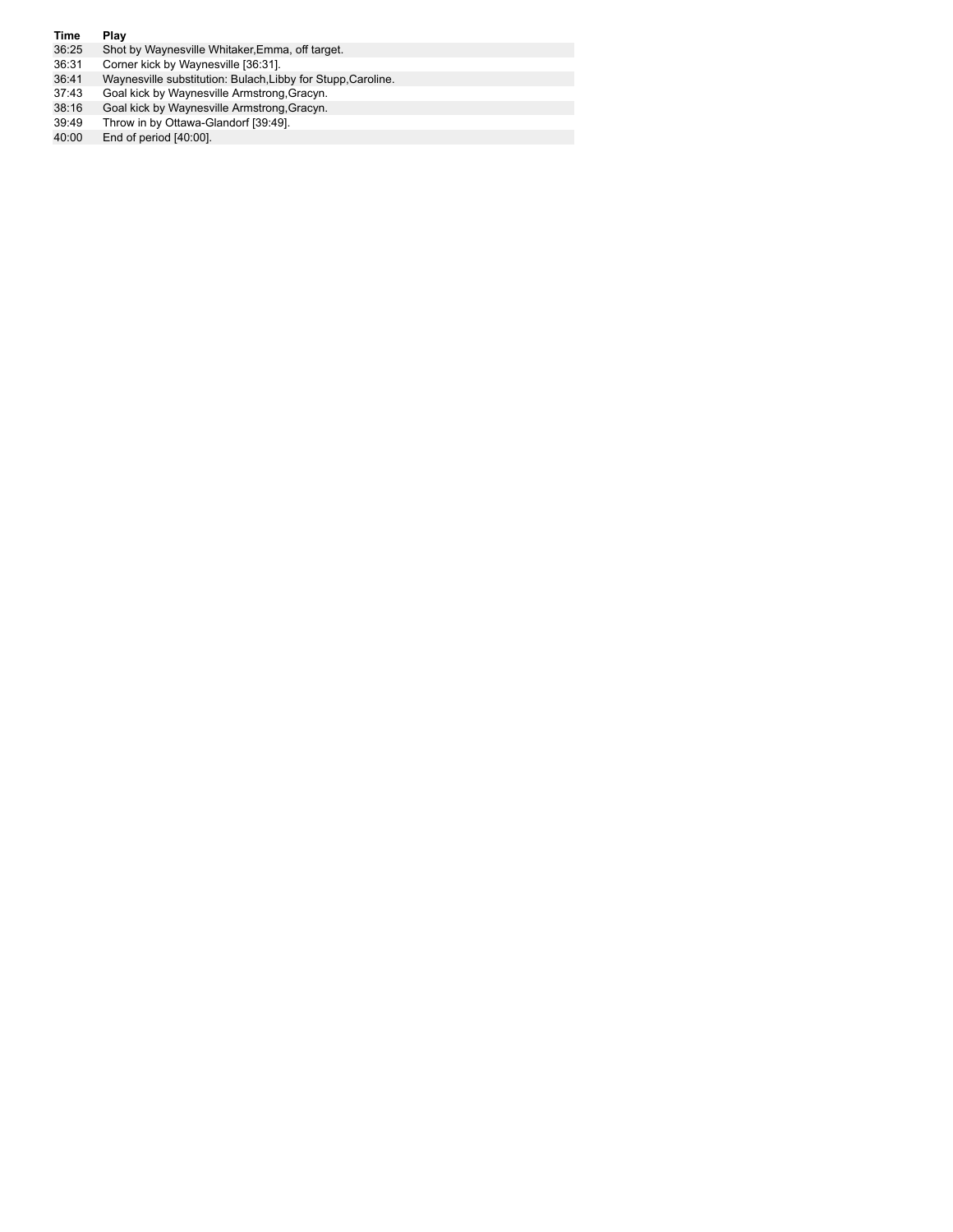- 
- **Time Play** Shot by Waynesville Whitaker, Emma, off target.
- 36:31 Corner kick by Waynesville [36:31].
- 36:41 Waynesville substitution: Bulach,Libby for Stupp,Caroline.
- 37:43 Goal kick by Waynesville Armstrong,Gracyn.
- 38:16 Goal kick by Waynesville Armstrong,Gracyn.
- 39:49 Throw in by Ottawa-Glandorf [39:49].
- End of period [40:00].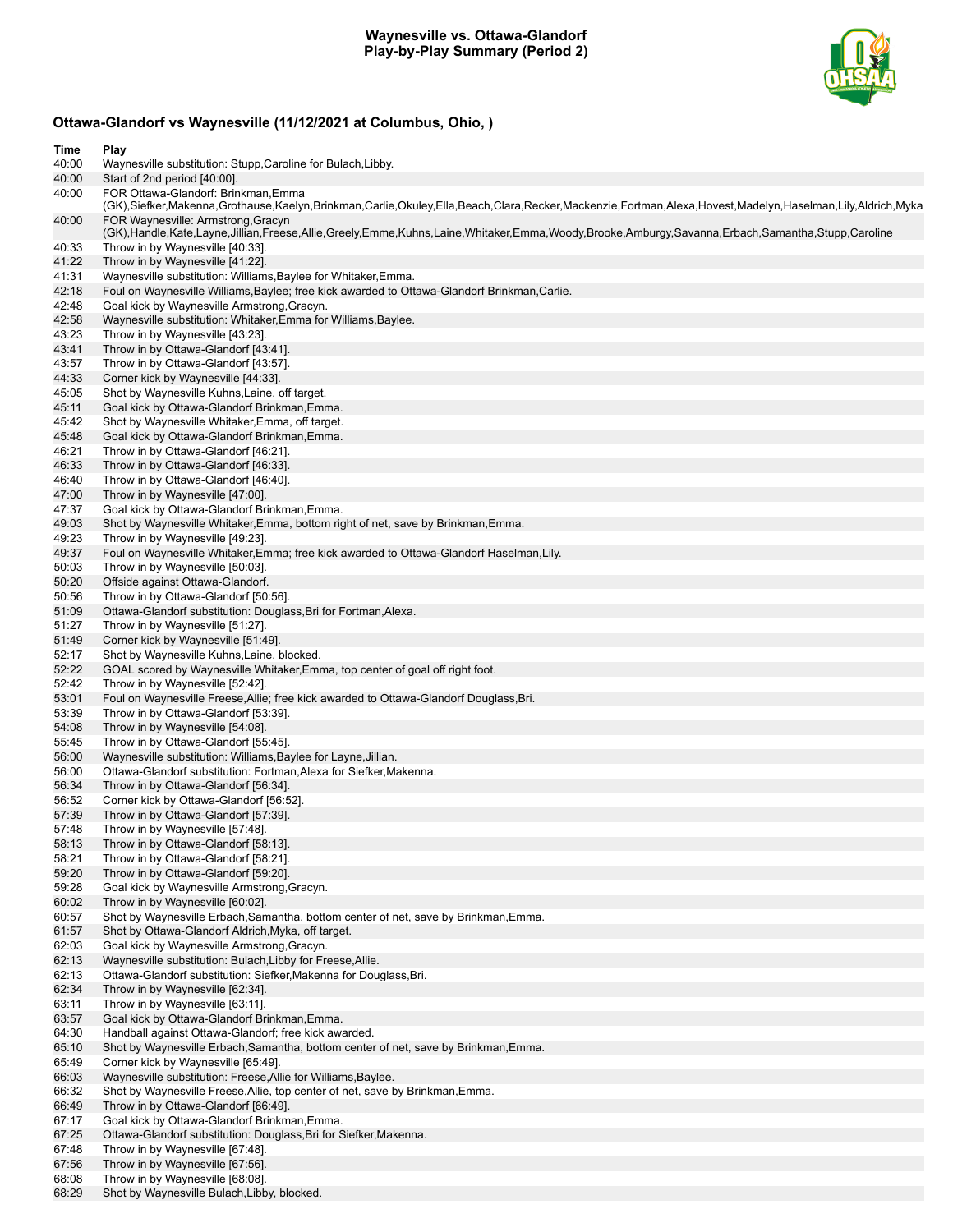#### **Waynesville vs. Ottawa-Glandorf Play-by-Play Summary (Period 2)**



# **Ottawa-Glandorf vs Waynesville (11/12/2021 at Columbus, Ohio, )**

| Time           | Play                                                                                                                                                                                         |
|----------------|----------------------------------------------------------------------------------------------------------------------------------------------------------------------------------------------|
| 40:00          | Waynesville substitution: Stupp, Caroline for Bulach, Libby.                                                                                                                                 |
| 40:00          | Start of 2nd period [40:00].                                                                                                                                                                 |
| 40:00          | FOR Ottawa-Glandorf: Brinkman, Emma                                                                                                                                                          |
| 40:00          | (GK),Siefker,Makenna,Grothause,Kaelyn,Brinkman,Carlie,Okuley,Ella,Beach,Clara,Recker,Mackenzie,Fortman,Alexa,Hovest,Madelyn,Haselman,Lily,Aldrich,Myka<br>FOR Waynesville: Armstrong, Gracyn |
|                | (GK),Handle,Kate,Layne,Jillian,Freese,Allie,Greely,Emme,Kuhns,Laine,Whitaker,Emma,Woody,Brooke,Amburgy,Savanna,Erbach,Samantha,Stupp,Caroline                                                |
| 40:33          | Throw in by Waynesville [40:33].                                                                                                                                                             |
| 41:22          | Throw in by Waynesville [41:22].                                                                                                                                                             |
| 41:31          | Waynesville substitution: Williams, Baylee for Whitaker, Emma.                                                                                                                               |
| 42:18          | Foul on Waynesville Williams, Baylee; free kick awarded to Ottawa-Glandorf Brinkman, Carlie.                                                                                                 |
| 42:48          | Goal kick by Waynesville Armstrong Gracyn.                                                                                                                                                   |
| 42:58          | Waynesville substitution: Whitaker, Emma for Williams, Baylee.                                                                                                                               |
| 43:23<br>43:41 | Throw in by Waynesville [43:23].<br>Throw in by Ottawa-Glandorf [43:41].                                                                                                                     |
| 43:57          | Throw in by Ottawa-Glandorf [43:57].                                                                                                                                                         |
| 44:33          | Corner kick by Waynesville [44:33].                                                                                                                                                          |
| 45:05          | Shot by Waynesville Kuhns, Laine, off target.                                                                                                                                                |
| 45:11          | Goal kick by Ottawa-Glandorf Brinkman, Emma.                                                                                                                                                 |
| 45:42          | Shot by Waynesville Whitaker, Emma, off target.                                                                                                                                              |
| 45:48          | Goal kick by Ottawa-Glandorf Brinkman, Emma.                                                                                                                                                 |
| 46:21          | Throw in by Ottawa-Glandorf [46:21].                                                                                                                                                         |
| 46:33          | Throw in by Ottawa-Glandorf [46:33].<br>Throw in by Ottawa-Glandorf [46:40].                                                                                                                 |
| 46:40<br>47:00 | Throw in by Waynesville [47:00].                                                                                                                                                             |
| 47:37          | Goal kick by Ottawa-Glandorf Brinkman, Emma.                                                                                                                                                 |
| 49:03          | Shot by Waynesville Whitaker, Emma, bottom right of net, save by Brinkman, Emma.                                                                                                             |
| 49:23          | Throw in by Waynesville [49:23].                                                                                                                                                             |
| 49:37          | Foul on Waynesville Whitaker, Emma; free kick awarded to Ottawa-Glandorf Haselman, Lily.                                                                                                     |
| 50:03          | Throw in by Waynesville [50:03].                                                                                                                                                             |
| 50:20          | Offside against Ottawa-Glandorf.                                                                                                                                                             |
| 50:56          | Throw in by Ottawa-Glandorf [50:56].                                                                                                                                                         |
| 51:09          | Ottawa-Glandorf substitution: Douglass, Bri for Fortman, Alexa.                                                                                                                              |
| 51:27          | Throw in by Waynesville [51:27].                                                                                                                                                             |
| 51:49<br>52:17 | Corner kick by Waynesville [51:49].<br>Shot by Waynesville Kuhns, Laine, blocked.                                                                                                            |
| 52:22          | GOAL scored by Waynesville Whitaker, Emma, top center of goal off right foot.                                                                                                                |
| 52:42          | Throw in by Waynesville [52:42].                                                                                                                                                             |
| 53:01          | Foul on Waynesville Freese, Allie; free kick awarded to Ottawa-Glandorf Douglass, Bri.                                                                                                       |
| 53:39          | Throw in by Ottawa-Glandorf [53:39].                                                                                                                                                         |
| 54:08          | Throw in by Waynesville [54:08].                                                                                                                                                             |
| 55:45          | Throw in by Ottawa-Glandorf [55:45].                                                                                                                                                         |
| 56:00          | Waynesville substitution: Williams, Baylee for Layne, Jillian.                                                                                                                               |
| 56:00          | Ottawa-Glandorf substitution: Fortman, Alexa for Siefker, Makenna.                                                                                                                           |
| 56:34<br>56:52 | Throw in by Ottawa-Glandorf [56:34].<br>Corner kick by Ottawa-Glandorf [56:52].                                                                                                              |
| 57:39          | Throw in by Ottawa-Glandorf [57:39].                                                                                                                                                         |
| 57:48          | Throw in by Waynesville [57:48].                                                                                                                                                             |
| 58:13          | Throw in by Ottawa-Glandorf [58:13].                                                                                                                                                         |
| 58:21          | Throw in by Ottawa-Glandorf [58:21].                                                                                                                                                         |
| 59:20          | Throw in by Ottawa-Glandorf [59:20].                                                                                                                                                         |
| 59:28          | Goal kick by Waynesville Armstrong, Gracyn.                                                                                                                                                  |
| 60:02          | Throw in by Waynesville [60:02].                                                                                                                                                             |
| 60:57          | Shot by Waynesville Erbach, Samantha, bottom center of net, save by Brinkman, Emma.                                                                                                          |
| 61:57<br>62:03 | Shot by Ottawa-Glandorf Aldrich, Myka, off target.<br>Goal kick by Waynesville Armstrong, Gracyn.                                                                                            |
| 62:13          | Waynesville substitution: Bulach, Libby for Freese, Allie.                                                                                                                                   |
| 62:13          | Ottawa-Glandorf substitution: Siefker, Makenna for Douglass, Bri.                                                                                                                            |
| 62:34          | Throw in by Waynesville [62:34].                                                                                                                                                             |
| 63:11          | Throw in by Waynesville [63:11].                                                                                                                                                             |
| 63:57          | Goal kick by Ottawa-Glandorf Brinkman, Emma.                                                                                                                                                 |
| 64:30          | Handball against Ottawa-Glandorf; free kick awarded.                                                                                                                                         |
| 65:10          | Shot by Waynesville Erbach, Samantha, bottom center of net, save by Brinkman, Emma.                                                                                                          |
| 65:49          | Corner kick by Waynesville [65:49].                                                                                                                                                          |
| 66:03<br>66:32 | Waynesville substitution: Freese, Allie for Williams, Baylee.<br>Shot by Waynesville Freese, Allie, top center of net, save by Brinkman, Emma.                                               |
| 66:49          | Throw in by Ottawa-Glandorf [66:49].                                                                                                                                                         |
| 67:17          | Goal kick by Ottawa-Glandorf Brinkman, Emma.                                                                                                                                                 |
| 67:25          | Ottawa-Glandorf substitution: Douglass, Bri for Siefker, Makenna.                                                                                                                            |
| 67:48          | Throw in by Waynesville [67:48].                                                                                                                                                             |
| 67:56          | Throw in by Waynesville [67:56].                                                                                                                                                             |
| 68:08          | Throw in by Waynesville [68:08].                                                                                                                                                             |

68:29 Shot by Waynesville Bulach,Libby, blocked.